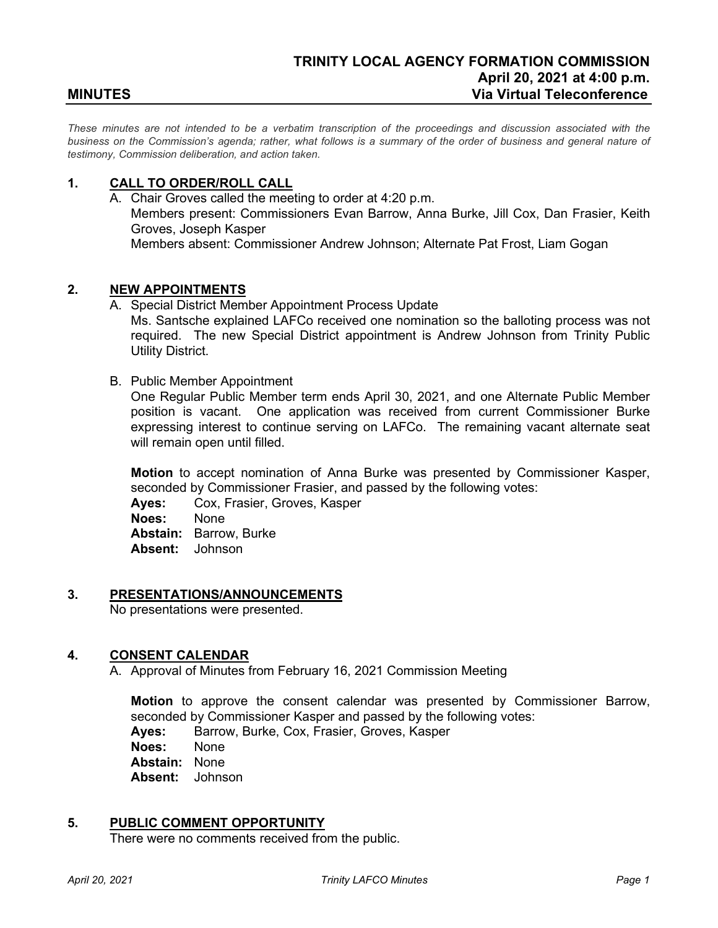*These minutes are not intended to be a verbatim transcription of the proceedings and discussion associated with the business on the Commission's agenda; rather, what follows is a summary of the order of business and general nature of testimony, Commission deliberation, and action taken.*

## **1. CALL TO ORDER/ROLL CALL**

A. Chair Groves called the meeting to order at 4:20 p.m. Members present: Commissioners Evan Barrow, Anna Burke, Jill Cox, Dan Frasier, Keith Groves, Joseph Kasper Members absent: Commissioner Andrew Johnson; Alternate Pat Frost, Liam Gogan

# **2. NEW APPOINTMENTS**

- A. Special District Member Appointment Process Update Ms. Santsche explained LAFCo received one nomination so the balloting process was not required. The new Special District appointment is Andrew Johnson from Trinity Public Utility District.
- B. Public Member Appointment

One Regular Public Member term ends April 30, 2021, and one Alternate Public Member position is vacant. One application was received from current Commissioner Burke expressing interest to continue serving on LAFCo. The remaining vacant alternate seat will remain open until filled.

**Motion** to accept nomination of Anna Burke was presented by Commissioner Kasper, seconded by Commissioner Frasier, and passed by the following votes:

**Ayes:** Cox, Frasier, Groves, Kasper **Noes:** None **Abstain:** Barrow, Burke **Absent:** Johnson

#### **3. PRESENTATIONS/ANNOUNCEMENTS**

No presentations were presented.

#### **4. CONSENT CALENDAR**

A. Approval of Minutes from February 16, 2021 Commission Meeting

**Motion** to approve the consent calendar was presented by Commissioner Barrow, seconded by Commissioner Kasper and passed by the following votes:

**Ayes:** Barrow, Burke, Cox, Frasier, Groves, Kasper

**Noes:** None

**Abstain:** None

**Absent:** Johnson

#### **5. PUBLIC COMMENT OPPORTUNITY**

There were no comments received from the public.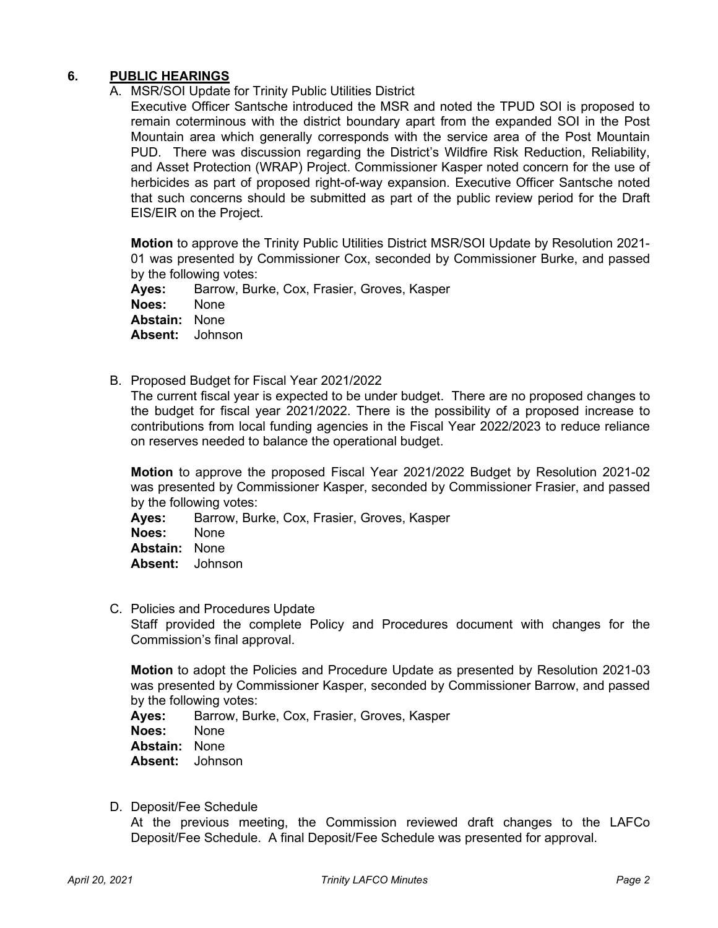# **6. PUBLIC HEARINGS**

A. MSR/SOI Update for Trinity Public Utilities District

Executive Officer Santsche introduced the MSR and noted the TPUD SOI is proposed to remain coterminous with the district boundary apart from the expanded SOI in the Post Mountain area which generally corresponds with the service area of the Post Mountain PUD. There was discussion regarding the District's Wildfire Risk Reduction, Reliability, and Asset Protection (WRAP) Project. Commissioner Kasper noted concern for the use of herbicides as part of proposed right-of-way expansion. Executive Officer Santsche noted that such concerns should be submitted as part of the public review period for the Draft EIS/EIR on the Project.

**Motion** to approve the Trinity Public Utilities District MSR/SOI Update by Resolution 2021- 01 was presented by Commissioner Cox, seconded by Commissioner Burke, and passed by the following votes:

Ayes: Barrow, Burke, Cox, Frasier, Groves, Kasper<br>Noes: None Noes: **Abstain:** None **Absent:** Johnson

B. Proposed Budget for Fiscal Year 2021/2022

The current fiscal year is expected to be under budget. There are no proposed changes to the budget for fiscal year 2021/2022. There is the possibility of a proposed increase to contributions from local funding agencies in the Fiscal Year 2022/2023 to reduce reliance on reserves needed to balance the operational budget.

**Motion** to approve the proposed Fiscal Year 2021/2022 Budget by Resolution 2021-02 was presented by Commissioner Kasper, seconded by Commissioner Frasier, and passed by the following votes:

**Ayes:** Barrow, Burke, Cox, Frasier, Groves, Kasper **Noes:** None

**Abstain:** None

- **Absent:** Johnson
- C. Policies and Procedures Update

Staff provided the complete Policy and Procedures document with changes for the Commission's final approval.

**Motion** to adopt the Policies and Procedure Update as presented by Resolution 2021-03 was presented by Commissioner Kasper, seconded by Commissioner Barrow, and passed by the following votes:

**Ayes:** Barrow, Burke, Cox, Frasier, Groves, Kasper **Noes:** None **Abstain:** None **Absent:** Johnson

D. Deposit/Fee Schedule

At the previous meeting, the Commission reviewed draft changes to the LAFCo Deposit/Fee Schedule. A final Deposit/Fee Schedule was presented for approval.